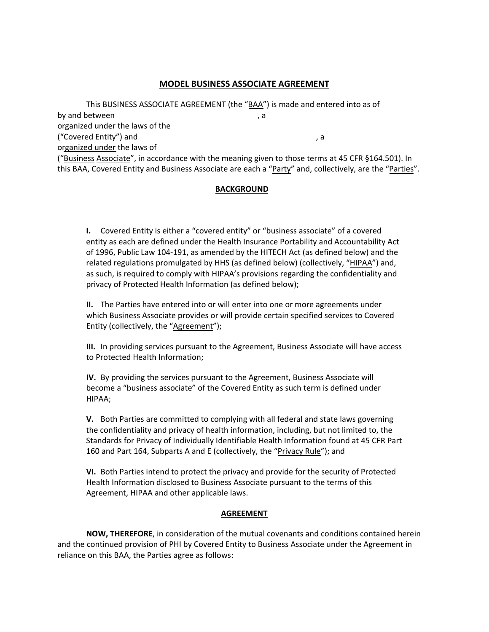### **MODEL BUSINESS ASSOCIATE AGREEMENT**

This BUSINESS ASSOCIATE AGREEMENT (the "BAA") is made and entered into as of ("Business Associate", in accordance with the meaning given to those terms at 45 CFR §164.501). In by and between the contract of the contract of the contract of the contract of the contract of the contract of the contract of the contract of the contract of the contract of the contract of the contract of the contract of organized under the laws of the ("Covered Entity") and  $\qquad \qquad$ , a organized under the laws of this BAA, Covered Entity and Business Associate are each a "Party" and, collectively, are the "Parties".

#### **BACKGROUND**

 of 1996, Public Law 104-191, as amended by the HITECH Act (as defined below) and the as such, is required to comply with HIPAA's provisions regarding the confidentiality and **I.** Covered Entity is either a "covered entity" or "business associate" of a covered entity as each are defined under the Health Insurance Portability and Accountability Act related regulations promulgated by HHS (as defined below) (collectively, "HIPAA") and, privacy of Protected Health Information (as defined below);

**II.** The Parties have entered into or will enter into one or more agreements under which Business Associate provides or will provide certain specified services to Covered Entity (collectively, the "Agreement");

 to Protected Health Information; **III.** In providing services pursuant to the Agreement, Business Associate will have access

**IV.** By providing the services pursuant to the Agreement, Business Associate will become a "business associate" of the Covered Entity as such term is defined under HIPAA;

 the confidentiality and privacy of health information, including, but not limited to, the **V.** Both Parties are committed to complying with all federal and state laws governing Standards for Privacy of Individually Identifiable Health Information found at 45 CFR Part 160 and Part 164, Subparts A and E (collectively, the "Privacy Rule"); and

 Health Information disclosed to Business Associate pursuant to the terms of this **VI.** Both Parties intend to protect the privacy and provide for the security of Protected Agreement, HIPAA and other applicable laws.

#### **AGREEMENT**

 reliance on this BAA, the Parties agree as follows: **NOW, THEREFORE**, in consideration of the mutual covenants and conditions contained herein and the continued provision of PHI by Covered Entity to Business Associate under the Agreement in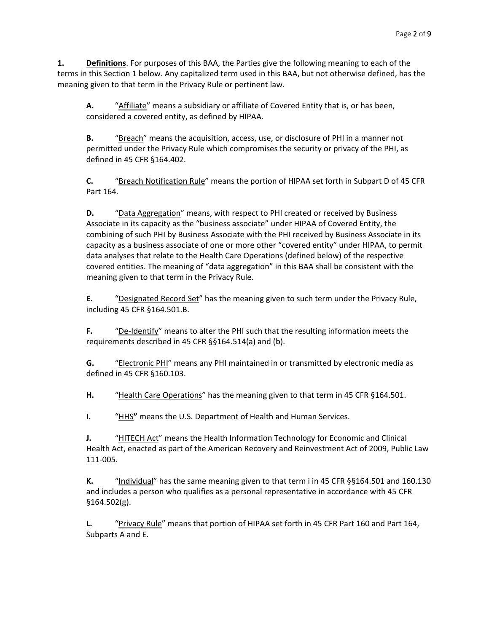terms in this Section 1 below. Any capitalized term used in this BAA, but not otherwise defined, has the **1. Definitions**. For purposes of this BAA, the Parties give the following meaning to each of the meaning given to that term in the Privacy Rule or pertinent law.

 **A.** "Affiliate" means a subsidiary or affiliate of Covered Entity that is, or has been, considered a covered entity, as defined by HIPAA.

 **B.** "Breach" means the acquisition, access, use, or disclosure of PHI in a manner not permitted under the Privacy Rule which compromises the security or privacy of the PHI, as defined in 45 CFR §164.402.

 **C.** "Breach Notification Rule" means the portion of HIPAA set forth in Subpart D of 45 CFR Part 164.

 **D.** "Data Aggregation" means, with respect to PHI created or received by Business combining of such PHI by Business Associate with the PHI received by Business Associate in its data analyses that relate to the Health Care Operations (defined below) of the respective meaning given to that term in the Privacy Rule. Associate in its capacity as the "business associate" under HIPAA of Covered Entity, the capacity as a business associate of one or more other "covered entity" under HIPAA, to permit covered entities. The meaning of "data aggregation" in this BAA shall be consistent with the

**E.** "Designated Record Set" has the meaning given to such term under the Privacy Rule, including 45 CFR §164.501.B.

**F.** "De-Identify" means to alter the PHI such that the resulting information meets the requirements described in 45 CFR §§164.514(a) and (b).

 **G.** "Electronic PHI" means any PHI maintained in or transmitted by electronic media as defined in 45 CFR §160.103.

**H.** "Health Care Operations" has the meaning given to that term in 45 CFR §164.501.

**I. "HHS"** means the U.S. Department of Health and Human Services.

 **J.** "HITECH Act" means the Health Information Technology for Economic and Clinical Health Act, enacted as part of the American Recovery and Reinvestment Act of 2009, Public Law 111-005.

 and includes a person who qualifies as a personal representative in accordance with 45 CFR **K.** "Individual" has the same meaning given to that term i in 45 CFR §§164.501 and 160.130 §164.502(g).

**L.** "Privacy Rule" means that portion of HIPAA set forth in 45 CFR Part 160 and Part 164, Subparts A and E.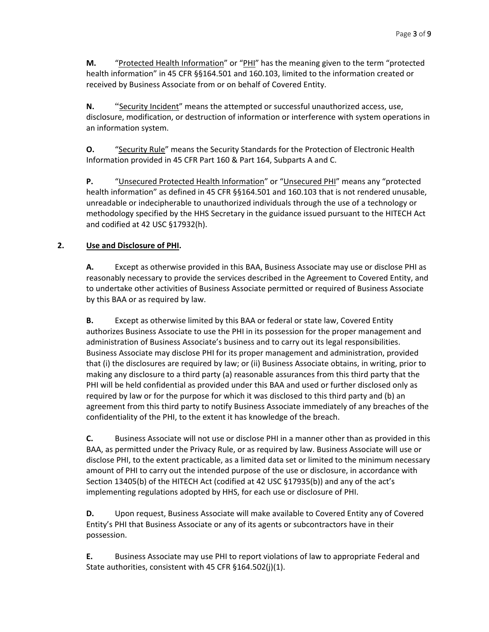**M.** *"Protected Health Information"* or "PHI" has the meaning given to the term "protected health information" in 45 CFR §§164.501 and 160.103, limited to the information created or received by Business Associate from or on behalf of Covered Entity.

 **N.** "Security Incident" means the attempted or successful unauthorized access, use, an information system. disclosure, modification, or destruction of information or interference with system operations in

 **O.** "Security Rule" means the Security Standards for the Protection of Electronic Health Information provided in 45 CFR Part 160 & Part 164, Subparts A and C.

 health information" as defined in 45 CFR §§164.501 and 160.103 that is not rendered unusable, unreadable or indecipherable to unauthorized individuals through the use of a technology or methodology specified by the HHS Secretary in the guidance issued pursuant to the HITECH Act **P.** "Unsecured Protected Health Information" or "Unsecured PHI" means any "protected and codified at 42 USC §17932(h).

## **2. Use and Disclosure of PHI.**

**A.** Except as otherwise provided in this BAA, Business Associate may use or disclose PHI as reasonably necessary to provide the services described in the Agreement to Covered Entity, and to undertake other activities of Business Associate permitted or required of Business Associate by this BAA or as required by law.

 that (i) the disclosures are required by law; or (ii) Business Associate obtains, in writing, prior to making any disclosure to a third party (a) reasonable assurances from this third party that the PHI will be held confidential as provided under this BAA and used or further disclosed only as required by law or for the purpose for which it was disclosed to this third party and (b) an confidentiality of the PHI, to the extent it has knowledge of the breach. **B.** Except as otherwise limited by this BAA or federal or state law, Covered Entity authorizes Business Associate to use the PHI in its possession for the proper management and administration of Business Associate's business and to carry out its legal responsibilities. Business Associate may disclose PHI for its proper management and administration, provided agreement from this third party to notify Business Associate immediately of any breaches of the

 Section 13405(b) of the HITECH Act (codified at 42 USC §17935(b)) and any of the act's **C.** Business Associate will not use or disclose PHI in a manner other than as provided in this BAA, as permitted under the Privacy Rule, or as required by law. Business Associate will use or disclose PHI, to the extent practicable, as a limited data set or limited to the minimum necessary amount of PHI to carry out the intended purpose of the use or disclosure, in accordance with implementing regulations adopted by HHS, for each use or disclosure of PHI.

 Entity's PHI that Business Associate or any of its agents or subcontractors have in their **D.** Upon request, Business Associate will make available to Covered Entity any of Covered possession.

**E.** Business Associate may use PHI to report violations of law to appropriate Federal and State authorities, consistent with 45 CFR §164.502(j)(1).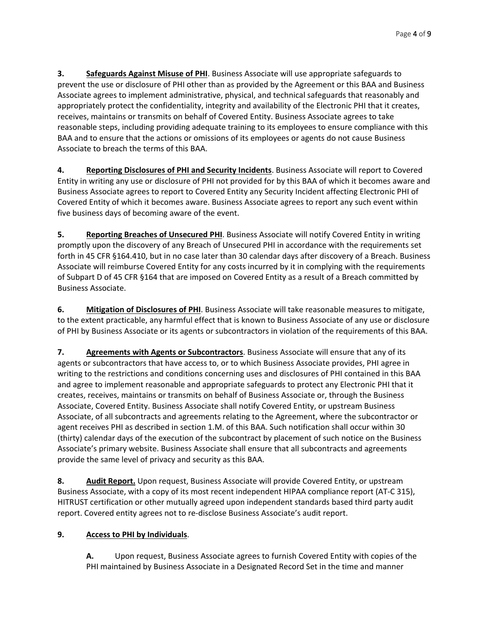appropriately protect the confidentiality, integrity and availability of the Electronic PHI that it creates, reasonable steps, including providing adequate training to its employees to ensure compliance with this BAA and to ensure that the actions or omissions of its employees or agents do not cause Business **3.** Safeguards Against Misuse of PHI. Business Associate will use appropriate safeguards to prevent the use or disclosure of PHI other than as provided by the Agreement or this BAA and Business Associate agrees to implement administrative, physical, and technical safeguards that reasonably and receives, maintains or transmits on behalf of Covered Entity. Business Associate agrees to take Associate to breach the terms of this BAA.

**4. Reporting Disclosures of PHI and Security Incidents**. Business Associate will report to Covered Entity in writing any use or disclosure of PHI not provided for by this BAA of which it becomes aware and Business Associate agrees to report to Covered Entity any Security Incident affecting Electronic PHI of Covered Entity of which it becomes aware. Business Associate agrees to report any such event within five business days of becoming aware of the event.

 forth in 45 CFR §164.410, but in no case later than 30 calendar days after discovery of a Breach. Business of Subpart D of 45 CFR §164 that are imposed on Covered Entity as a result of a Breach committed by **5. Reporting Breaches of Unsecured PHI**. Business Associate will notify Covered Entity in writing promptly upon the discovery of any Breach of Unsecured PHI in accordance with the requirements set Associate will reimburse Covered Entity for any costs incurred by it in complying with the requirements Business Associate.

**6. Mitigation of Disclosures of PHI**. Business Associate will take reasonable measures to mitigate, to the extent practicable, any harmful effect that is known to Business Associate of any use or disclosure of PHI by Business Associate or its agents or subcontractors in violation of the requirements of this BAA.

7. Agreements with Agents or Subcontractors. Business Associate will ensure that any of its writing to the restrictions and conditions concerning uses and disclosures of PHI contained in this BAA agents or subcontractors that have access to, or to which Business Associate provides, PHI agree in and agree to implement reasonable and appropriate safeguards to protect any Electronic PHI that it creates, receives, maintains or transmits on behalf of Business Associate or, through the Business Associate, Covered Entity. Business Associate shall notify Covered Entity, or upstream Business Associate, of all subcontracts and agreements relating to the Agreement, where the subcontractor or agent receives PHI as described in section 1.M. of this BAA. Such notification shall occur within 30 (thirty) calendar days of the execution of the subcontract by placement of such notice on the Business Associate's primary website. Business Associate shall ensure that all subcontracts and agreements provide the same level of privacy and security as this BAA.

8. Audit Report. Upon request, Business Associate will provide Covered Entity, or upstream Business Associate, with a copy of its most recent independent HIPAA compliance report (AT-C 315), HITRUST certification or other mutually agreed upon independent standards based third party audit report. Covered entity agrees not to re-disclose Business Associate's audit report.

# **9. Access to PHI by Individuals**.

 **A.** Upon request, Business Associate agrees to furnish Covered Entity with copies of the PHI maintained by Business Associate in a Designated Record Set in the time and manner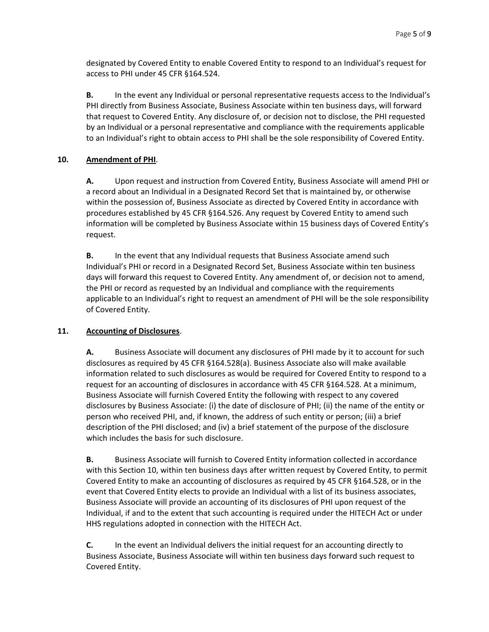access to PHI under 45 CFR §164.524. designated by Covered Entity to enable Covered Entity to respond to an Individual's request for

 **B.** In the event any Individual or personal representative requests access to the Individual's PHI directly from Business Associate, Business Associate within ten business days, will forward that request to Covered Entity. Any disclosure of, or decision not to disclose, the PHI requested by an Individual or a personal representative and compliance with the requirements applicable to an Individual's right to obtain access to PHI shall be the sole responsibility of Covered Entity.

## **10. Amendment of PHI**.

 a record about an Individual in a Designated Record Set that is maintained by, or otherwise procedures established by 45 CFR §164.526. Any request by Covered Entity to amend such **A.** Upon request and instruction from Covered Entity, Business Associate will amend PHI or within the possession of, Business Associate as directed by Covered Entity in accordance with information will be completed by Business Associate within 15 business days of Covered Entity's request.

 days will forward this request to Covered Entity. Any amendment of, or decision not to amend, the PHI or record as requested by an Individual and compliance with the requirements applicable to an Individual's right to request an amendment of PHI will be the sole responsibility of Covered Entity. **B.** In the event that any Individual requests that Business Associate amend such Individual's PHI or record in a Designated Record Set, Business Associate within ten business

# **11. Accounting of Disclosures**.

 disclosures as required by 45 CFR §164.528(a). Business Associate also will make available Business Associate will furnish Covered Entity the following with respect to any covered disclosures by Business Associate: (i) the date of disclosure of PHI; (ii) the name of the entity or person who received PHI, and, if known, the address of such entity or person; (iii) a brief **A.** Business Associate will document any disclosures of PHI made by it to account for such information related to such disclosures as would be required for Covered Entity to respond to a request for an accounting of disclosures in accordance with 45 CFR §164.528. At a minimum, description of the PHI disclosed; and (iv) a brief statement of the purpose of the disclosure which includes the basis for such disclosure.

 with this Section 10, within ten business days after written request by Covered Entity, to permit Covered Entity to make an accounting of disclosures as required by 45 CFR §164.528, or in the Business Associate will provide an accounting of its disclosures of PHI upon request of the Individual, if and to the extent that such accounting is required under the HITECH Act or under HHS regulations adopted in connection with the HITECH Act. **B.** Business Associate will furnish to Covered Entity information collected in accordance event that Covered Entity elects to provide an Individual with a list of its business associates,

 **C.** In the event an Individual delivers the initial request for an accounting directly to Business Associate, Business Associate will within ten business days forward such request to Covered Entity.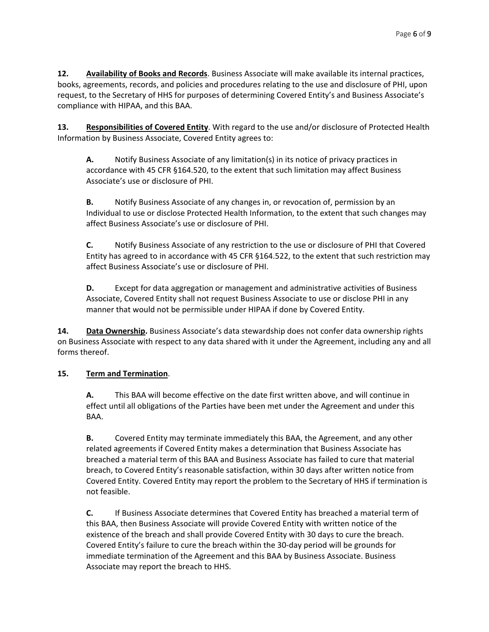**12. Availability of Books and Records**. Business Associate will make available its internal practices, compliance with HIPAA, and this BAA. books, agreements, records, and policies and procedures relating to the use and disclosure of PHI, upon request, to the Secretary of HHS for purposes of determining Covered Entity's and Business Associate's

**13. Responsibilities of Covered Entity**. With regard to the use and/or disclosure of Protected Health Information by Business Associate, Covered Entity agrees to:

**A.** Notify Business Associate of any limitation(s) in its notice of privacy practices in accordance with 45 CFR §164.520, to the extent that such limitation may affect Business Associate's use or disclosure of PHI.

**B.** Notify Business Associate of any changes in, or revocation of, permission by an Individual to use or disclose Protected Health Information, to the extent that such changes may affect Business Associate's use or disclosure of PHI.

 **C.** Notify Business Associate of any restriction to the use or disclosure of PHI that Covered Entity has agreed to in accordance with 45 CFR §164.522, to the extent that such restriction may affect Business Associate's use or disclosure of PHI.

 manner that would not be permissible under HIPAA if done by Covered Entity. **D.** Except for data aggregation or management and administrative activities of Business Associate, Covered Entity shall not request Business Associate to use or disclose PHI in any

 on Business Associate with respect to any data shared with it under the Agreement, including any and all **14. Data Ownership.** Business Associate's data stewardship does not confer data ownership rights forms thereof.

# **15. Term and Termination**.

**A.** This BAA will become effective on the date first written above, and will continue in effect until all obligations of the Parties have been met under the Agreement and under this BAA.

 breach, to Covered Entity's reasonable satisfaction, within 30 days after written notice from not feasible. **B.** Covered Entity may terminate immediately this BAA, the Agreement, and any other related agreements if Covered Entity makes a determination that Business Associate has breached a material term of this BAA and Business Associate has failed to cure that material Covered Entity. Covered Entity may report the problem to the Secretary of HHS if termination is

 this BAA, then Business Associate will provide Covered Entity with written notice of the existence of the breach and shall provide Covered Entity with 30 days to cure the breach. Covered Entity's failure to cure the breach within the 30-day period will be grounds for **C.** If Business Associate determines that Covered Entity has breached a material term of immediate termination of the Agreement and this BAA by Business Associate. Business Associate may report the breach to HHS.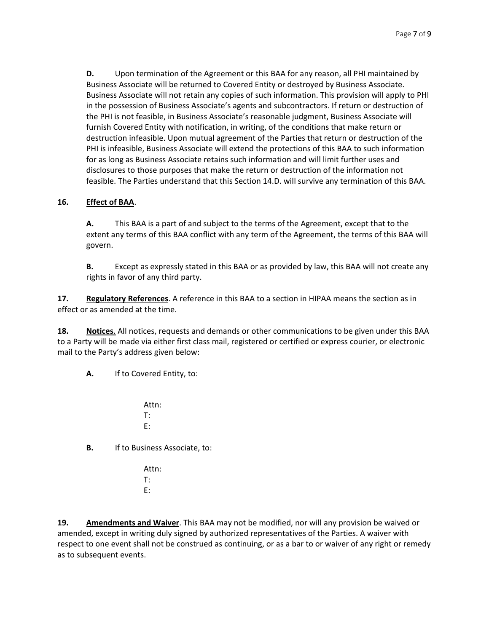Business Associate will not retain any copies of such information. This provision will apply to PHI destruction infeasible. Upon mutual agreement of the Parties that return or destruction of the **D.** Upon termination of the Agreement or this BAA for any reason, all PHI maintained by Business Associate will be returned to Covered Entity or destroyed by Business Associate. in the possession of Business Associate's agents and subcontractors. If return or destruction of the PHI is not feasible, in Business Associate's reasonable judgment, Business Associate will furnish Covered Entity with notification, in writing, of the conditions that make return or PHI is infeasible, Business Associate will extend the protections of this BAA to such information for as long as Business Associate retains such information and will limit further uses and disclosures to those purposes that make the return or destruction of the information not feasible. The Parties understand that this Section 14.D. will survive any termination of this BAA.

## **16. Effect of BAA**.

 **A.** This BAA is a part of and subject to the terms of the Agreement, except that to the govern. extent any terms of this BAA conflict with any term of the Agreement, the terms of this BAA will

 **B.** Except as expressly stated in this BAA or as provided by law, this BAA will not create any rights in favor of any third party.

 effect or as amended at the time. **17. Regulatory References**. A reference in this BAA to a section in HIPAA means the section as in

 to a Party will be made via either first class mail, registered or certified or express courier, or electronic **18. Notices**. All notices, requests and demands or other communications to be given under this BAA mail to the Party's address given below:

**A.** If to Covered Entity, to:

Attn: T: E:

**B.** If to Business Associate, to:

Attn: T: E:

**19. Amendments and Waiver**. This BAA may not be modified, nor will any provision be waived or amended, except in writing duly signed by authorized representatives of the Parties. A waiver with respect to one event shall not be construed as continuing, or as a bar to or waiver of any right or remedy as to subsequent events.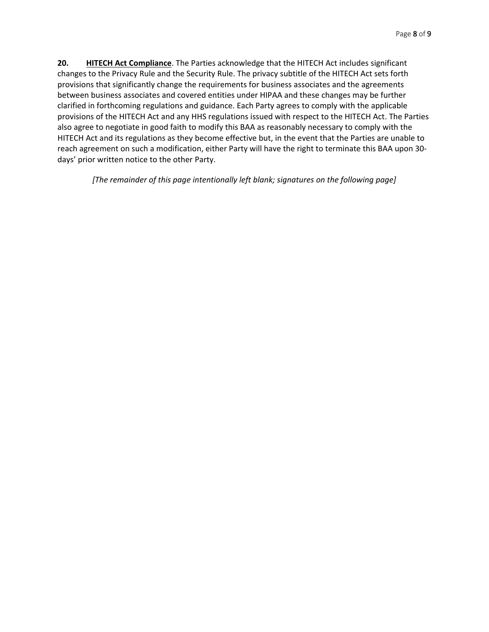clarified in forthcoming regulations and guidance. Each Party agrees to comply with the applicable provisions of the HITECH Act and any HHS regulations issued with respect to the HITECH Act. The Parties also agree to negotiate in good faith to modify this BAA as reasonably necessary to comply with the HITECH Act and its regulations as they become effective but, in the event that the Parties are unable to days' prior written notice to the other Party. **20.** HITECH Act Compliance. The Parties acknowledge that the HITECH Act includes significant changes to the Privacy Rule and the Security Rule. The privacy subtitle of the HITECH Act sets forth provisions that significantly change the requirements for business associates and the agreements between business associates and covered entities under HIPAA and these changes may be further reach agreement on such a modification, either Party will have the right to terminate this BAA upon 30-

*[The remainder of this page intentionally left blank; signatures on the following page]*